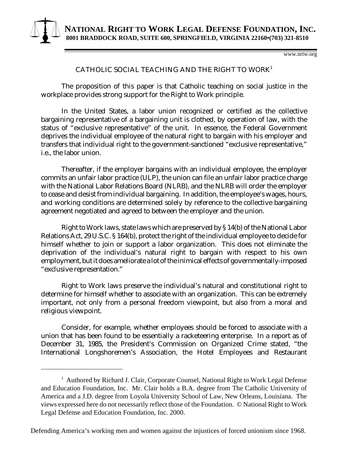## **NATIONAL RIGHT TO WORK LEGAL DEFENSE FOUNDATION, INC. 8001 BRADDOCK ROAD, SUITE 600, SPRINGFIELD, VIRGINIA 22160•(703) 321-8510**

www.nrtw.org

## CATHOLIC SOCIAL TEACHING AND THE RIGHT TO WORK<sup>1</sup>

The proposition of this paper is that Catholic teaching on social justice in the workplace provides strong support for the Right to Work principle.

In the United States, a labor union recognized or certified as the collective bargaining representative of a bargaining unit is clothed, by operation of law, with the status of "exclusive representative" of the unit. In essence, the Federal Government deprives the individual employee of the natural right to bargain with his employer and transfers that individual right to the government-sanctioned "exclusive representative," i.e., the labor union.

Thereafter, if the employer bargains with an individual employee, the employer commits an unfair labor practice (ULP), the union can file an unfair labor practice charge with the National Labor Relations Board (NLRB), and the NLRB will order the employer to cease and desist from individual bargaining. In addition, the employee's wages, hours, and working conditions are determined solely by reference to the collective bargaining agreement negotiated and agreed to between the employer and the union.

Right to Work laws, state laws which are preserved by § 14(b) of the National Labor Relations Act, 29 U.S.C. § 164(b), protect the right of the individual employee to decide for himself whether to join or support a labor organization. This does not eliminate the deprivation of the individual's natural right to bargain with respect to his own employment, but it does ameliorate a lot of the inimical effects of governmentally-imposed "exclusive representation."

Right to Work laws preserve the individual's natural and constitutional right to determine for himself whether to associate with an organization. This can be extremely important, not only from a personal freedom viewpoint, but also from a moral and religious viewpoint.

Consider, for example, whether employees should be forced to associate with a union that has been found to be essentially a racketeering enterprise. In a report as of December 31, 1985, the President's Commission on Organized Crime stated, "the International Longshoremen's Association, the Hotel Employees and Restaurant

Defending America's working men and women against the injustices of forced unionism since 1968.

<sup>&</sup>lt;sup>1</sup> Authored by Richard J. Clair, Corporate Counsel, National Right to Work Legal Defense and Education Foundation, Inc. Mr. Clair holds a B.A. degree from The Catholic University of America and a J.D. degree from Loyola University School of Law, New Orleans, Louisiana. The views expressed here do not necessarily reflect those of the Foundation. © National Right to Work Legal Defense and Education Foundation, Inc. 2000.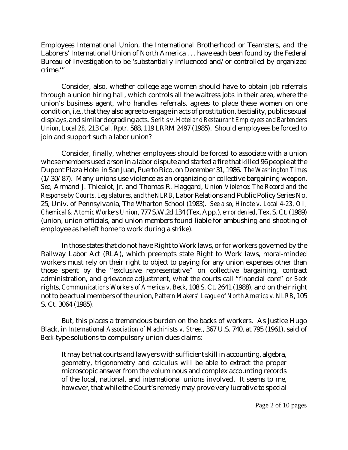Employees International Union, the International Brotherhood or Teamsters, and the Laborers' International Union of North America . . . have each been found by the Federal Bureau of Investigation to be 'substantially influenced and/or controlled by organized crime.'"

Consider, also, whether college age women should have to obtain job referrals through a union hiring hall, which controls all the waitress jobs in their area, where the union's business agent, who handles referrals, agrees to place these women on one condition, i.e., that they also agree to engage in acts of prostitution, bestiality, public sexual displays, and similar degrading acts. *Seritis v. Hotel and Restaurant Employees and Bartenders Union, Local 28*, 213 Cal. Rptr. 588, 119 LRRM 2497 (1985). Should employees be forced to join and support such a labor union?

Consider, finally, whether employees should be forced to associate with a union whose members used arson in a labor dispute and started a fire that killed 96 people at the Dupont Plaza Hotel in San Juan, Puerto Rico, on December 31, 1986. *The Washington Times* (1/30/87). Many unions use violence as an organizing or collective bargaining weapon. *See,* Armand J. Thieblot, Jr. and Thomas R. Haggard, *Union Violence: The Record and the Response by Courts, Legislatures, and the NLRB*, Labor Relations and Public Policy Series No. 25, Univ. of Pennsylvania, The Wharton School (1983). *See also*, *Hinote v. Local 4-23, Oil, Chemical & Atomic Workers Union*, 777 S.W.2d 134 (Tex. App.), *error denied*, Tex. S. Ct. (1989) (union, union officials, and union members found liable for ambushing and shooting of employee as he left home to work during a strike).

In those states that do not have Right to Work laws, or for workers governed by the Railway Labor Act (RLA), which preempts state Right to Work laws, moral-minded workers must rely on their right to object to paying for any union expenses other than those spent by the "exclusive representative" on collective bargaining, contract administration, and grievance adjustment, what the courts call "financial core" or *Beck* rights, *Communications Workers of America v. Beck*, 108 S. Ct. 2641 (1988), and on their right not to be actual members of the union, *Pattern Makers' League of North America v. NLRB*, 105 S. Ct. 3064 (1985).

But, this places a tremendous burden on the backs of workers. As Justice Hugo Black, in *International Association of Machinists v. Street*, 367 U.S. 740, at 795 (1961), said of *Beck*-type solutions to compulsory union dues claims:

It may be that courts and lawyers with sufficient skill in accounting, algebra, geometry, trigonometry and calculus will be able to extract the proper microscopic answer from the voluminous and complex accounting records of the local, national, and international unions involved. It seems to me, however, that while the Court's remedy may prove very lucrative to special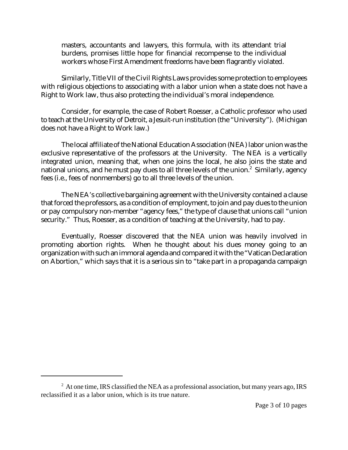masters, accountants and lawyers, this formula, with its attendant trial burdens, promises little hope for financial recompense to the individual workers whose First Amendment freedoms have been flagrantly violated.

Similarly, Title VII of the Civil Rights Laws provides some protection to employees with religious objections to associating with a labor union when a state does not have a Right to Work law, thus also protecting the individual's moral independence.

Consider, for example, the case of Robert Roesser, a Catholic professor who used to teach at the University of Detroit, a Jesuit-run institution (the "University"). (Michigan does not have a Right to Work law.)

The local affiliate of the National Education Association (NEA) labor union was the exclusive representative of the professors at the University. The NEA is a vertically integrated union, meaning that, when one joins the local, he also joins the state and national unions, and he must pay dues to all three levels of the union. $^{\text{2}}$  Similarly, agency fees (i.e., fees of nonmembers) go to all three levels of the union.

The NEA's collective bargaining agreement with the University contained a clause that forced the professors, as a condition of employment, to join and pay dues to the union or pay compulsory non-member "agency fees," the type of clause that unions call "union security." Thus, Roesser, as a condition of teaching at the University, had to pay.

Eventually, Roesser discovered that the NEA union was heavily involved in promoting abortion rights. When he thought about his dues money going to an organization with such an immoral agenda and compared it with the "Vatican Declaration on Abortion," which says that it is a serious sin to "take part in a propaganda campaign

 $2^2$  At one time, IRS classified the NEA as a professional association, but many years ago, IRS reclassified it as a labor union, which is its true nature.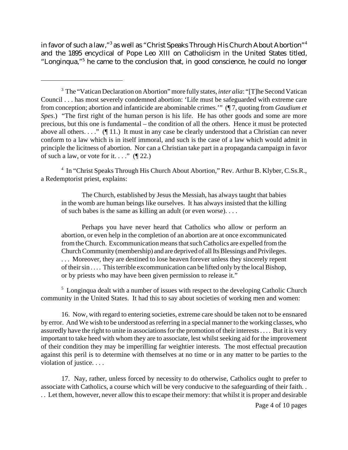in favor of such a law," $^3$  as well as "Christ Speaks Through His Church About Abortion" $^4$ and the 1895 encyclical of Pope Leo XIII on Catholicism in the United States titled, "Longinqua,"<sup>5</sup> he came to the conclusion that, in good conscience, he could no longer

<sup>4</sup> In "Christ Speaks Through His Church About Abortion," Rev. Arthur B. Klyber, C.Ss.R., a Redemptorist priest, explains:

The Church, established by Jesus the Messiah, has always taught that babies in the womb are human beings like ourselves. It has always insisted that the killing of such babes is the same as killing an adult (or even worse). . . .

Perhaps you have never heard that Catholics who allow or perform an abortion, or even help in the completion of an abortion are at once excommunicated from the Church. Excommunication means that such Catholics are expelled from the Church Community (membership) and are deprived of all Its Blessings and Privileges. . . . Moreover, they are destined to lose heaven forever unless they sincerely repent of their sin . . . . This terrible excommunication can be lifted only by the local Bishop, or by priests who may have been given permission to release it."

<sup>5</sup> Longinqua dealt with a number of issues with respect to the developing Catholic Church community in the United States. It had this to say about societies of working men and women:

16. Now, with regard to entering societies, extreme care should be taken not to be ensnared by error. And We wish to be understood as referring in a special manner to the working classes, who assuredly have the right to unite in associations for the promotion of their interests . . . . But it is very important to take heed with whom they are to associate, lest whilst seeking aid for the improvement of their condition they may be imperilling far weightier interests. The most effectual precaution against this peril is to determine with themselves at no time or in any matter to be parties to the violation of justice. . . .

17. Nay, rather, unless forced by necessity to do otherwise, Catholics ought to prefer to associate with Catholics, a course which will be very conducive to the safeguarding of their faith. . . . Let them, however, never allow this to escape their memory: that whilst it is proper and desirable

Page 4 of 10 pages

<sup>&</sup>lt;sup>3</sup> The "Vatican Declaration on Abortion" more fully states, *inter alia*: "[T]he Second Vatican Council . . . has most severely condemned abortion: 'Life must be safeguarded with extreme care from conception; abortion and infanticide are abominable crimes.'" (¶ 7, quoting from *Gaudium et Spes*.) "The first right of the human person is his life. He has other goods and some are more precious, but this one is fundamental – the condition of all the others. Hence it must be protected above all others. . . ." (¶ 11.) It must in any case be clearly understood that a Christian can never conform to a law which is in itself immoral, and such is the case of a law which would admit in principle the licitness of abortion. Nor can a Christian take part in a propaganda campaign in favor of such a law, or vote for it. . . ."  $(\P 22)$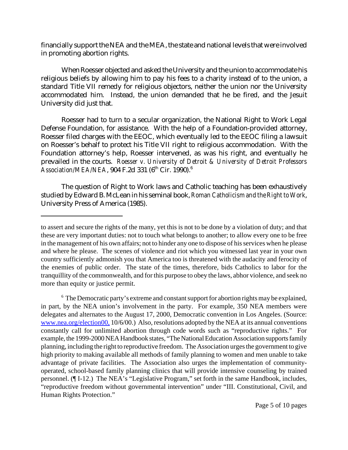financially support the NEA and the MEA, the state and national levels that were involved in promoting abortion rights.

When Roesser objected and asked the University and the union to accommodate his religious beliefs by allowing him to pay his fees to a charity instead of to the union, a standard Title VII remedy for religious objectors, neither the union nor the University accommodated him. Instead, the union demanded that he be fired, and the Jesuit University did just that.

Roesser had to turn to a secular organization, the National Right to Work Legal Defense Foundation, for assistance. With the help of a Foundation-provided attorney, Roesser filed charges with the EEOC, which eventually led to the EEOC filing a lawsuit on Roesser's behalf to protect his Title VII right to religious accommodation. With the Foundation attorney's help, Roesser intervened, as was his right, and eventually he prevailed in the courts. *Roesser v. University of Detroit & University of Detroit Professors Association/MEA/NEA*, 904 F.2d 331 (6<sup>th</sup> Cir. 1990).<sup>6</sup>

The question of Right to Work laws and Catholic teaching has been exhaustively studied by Edward B. McLean in his seminal book, *Roman Catholicism and the Right to Work*, University Press of America (1985).

to assert and secure the rights of the many, yet this is not to be done by a violation of duty; and that these are very important duties: not to touch what belongs to another; to allow every one to be free in the management of his own affairs; not to hinder any one to dispose of his services when he please and where he please. The scenes of violence and riot which you witnessed last year in your own country sufficiently admonish you that America too is threatened with the audacity and ferocity of the enemies of public order. The state of the times, therefore, bids Catholics to labor for the tranquillity of the commonwealth, and for this purpose to obey the laws, abhor violence, and seek no more than equity or justice permit.

<sup>&</sup>lt;sup>6</sup> The Democratic party's extreme and constant support for abortion rights may be explained, in part, by the NEA union's involvement in the party. For example, 350 NEA members were delegates and alternates to the August 17, 2000, Democratic convention in Los Angeles. (Source: www.nea.org/election00, 10/6/00.) Also, resolutions adopted by the NEA at its annual conventions constantly call for unlimited abortion through code words such as "reproductive rights." For example, the 1999-2000 NEA Handbook states, "The National Education Association supports family planning, including the right to reproductive freedom. The Association urges the government to give high priority to making available all methods of family planning to women and men unable to take advantage of private facilities. The Association also urges the implementation of communityoperated, school-based family planning clinics that will provide intensive counseling by trained personnel. (¶ I-12.) The NEA's "Legislative Program," set forth in the same Handbook, includes, "reproductive freedom without governmental intervention" under "III. Constitutional, Civil, and Human Rights Protection."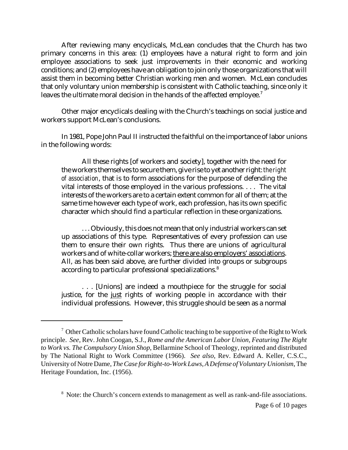After reviewing many encyclicals, McLean concludes that the Church has two primary concerns in this area: (1) employees have a natural right to form and join employee associations to seek just improvements in their economic and working conditions; and (2) employees have an obligation to join only those organizations that will assist them in becoming better Christian working men and women. McLean concludes that only voluntary union membership is consistent with Catholic teaching, since only it leaves the ultimate moral decision in the hands of the affected employee.<sup>7</sup>

Other major encyclicals dealing with the Church's teachings on social justice and workers support McLean's conclusions.

In 1981, Pope John Paul II instructed the faithful on the importance of labor unions in the following words:

All these rights [of workers and society], together with the need for the workers themselves to secure them, give rise to yet another right: *the right of association*, that is to form associations for the purpose of defending the vital interests of those employed in the various professions. . . . The vital interests of the workers are to a certain extent common for all of them; at the same time however each type of work, each profession, has its own specific character which should find a particular reflection in these organizations.

. . . Obviously, this does not mean that only industrial workers can set up associations of this type. Representatives of every profession can use them to ensure their own rights. Thus there are unions of agricultural workers and of white-collar workers; there are also employers' associations. All, as has been said above, are further divided into groups or subgroups according to particular professional specializations.<sup>8</sup>

. . . [Unions] are indeed a mouthpiece for the struggle for social justice, for the just rights of working people in accordance with their individual professions. However, this struggle should be seen as a normal

 $7$  Other Catholic scholars have found Catholic teaching to be supportive of the Right to Work principle. *See*, Rev. John Coogan, S.J., *Rome and the American Labor Union, Featuring The Right to Work vs. The Compulsory Union Shop*, Bellarmine School of Theology, reprinted and distributed by The National Right to Work Committee (1966). *See also*, Rev. Edward A. Keller, C.S.C., University of Notre Dame, *The Case for Right-to-Work Laws, A Defense of Voluntary Unionism*, The Heritage Foundation, Inc. (1956).

<sup>&</sup>lt;sup>8</sup> Note: the Church's concern extends to management as well as rank-and-file associations.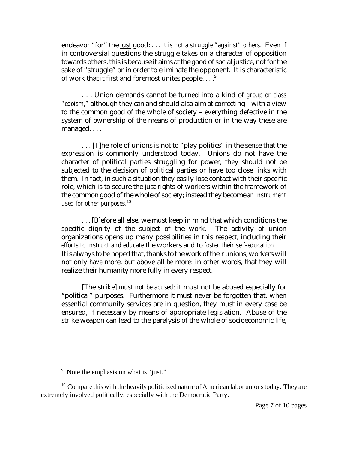endeavor "for" the just good: . . . it *is not a struggle "against" others*. Even if in controversial questions the struggle takes on a character of opposition towards others, this is because it aims at the good of social justice, not for the sake of "struggle" or in order to eliminate the opponent. It is characteristic of work that it first and foremost unites people.... $\frac{9}{10}$ 

. . . Union demands cannot be turned into a kind of *group or class "egoism,"* although they can and should also aim at correcting – with a view to the common good of the whole of society – everything defective in the system of ownership of the means of production or in the way these are managed. . . .

. . . [T]he role of unions is not to "play politics" in the sense that the expression is commonly understood today. Unions do not have the character of political parties struggling for power; they should not be subjected to the decision of political parties or have too close links with them. In fact, in such a situation they easily lose contact with their specific role, which is to secure the just rights of workers within the framework of the common good of the whole of society; instead they become *an instrument used for other purposes*. 10

. . . [B]efore all else, we must keep in mind that which conditions the specific dignity of the subject of the work. The activity of union organizations opens up many possibilities in this respect, including their *efforts to instruct and educate* the workers and to *foster their self-education*. . . . It is always to be hoped that, thanks to the work of their unions, workers will not only *have* more, but above all *be* more: in other words, that they will realize their humanity more fully in every respect.

[The strike] *must not be abused*; it must not be abused especially for "political" purposes. Furthermore it must never be forgotten that, when essential community services are in question, they must in every case be ensured, if necessary by means of appropriate legislation. Abuse of the strike weapon can lead to the paralysis of the whole of socioeconomic life,

<sup>&</sup>lt;sup>9</sup> Note the emphasis on what is "just."

<sup>&</sup>lt;sup>10</sup> Compare this with the heavily politicized nature of American labor unions today. They are extremely involved politically, especially with the Democratic Party.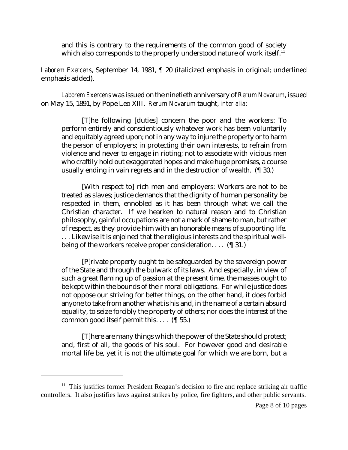and this is contrary to the requirements of the common good of society which also corresponds to the properly understood nature of work itself. $^{11}$ 

*Laborem Exercens*, September 14, 1981, ¶ 20 (italicized emphasis in original; underlined emphasis added).

*Laborem Exercens* was issued on the ninetieth anniversary of *Rerum Novarum*, issued on May 15, 1891, by Pope Leo XIII. *Rerum Novarum* taught, *inter alia*:

[T]he following [duties] concern the poor and the workers: To perform entirely and conscientiously whatever work has been voluntarily and equitably agreed upon; not in any way to injure the property or to harm the person of employers; in protecting their own interests, to refrain from violence and never to engage in rioting; not to associate with vicious men who craftily hold out exaggerated hopes and make huge promises, a course usually ending in vain regrets and in the destruction of wealth. (¶ 30.)

[With respect to] rich men and employers: Workers are not to be treated as slaves; justice demands that the dignity of human personality be respected in them, ennobled as it has been through what we call the Christian character. If we hearken to natural reason and to Christian philosophy, gainful occupations are not a mark of shame to man, but rather of respect, as they provide him with an honorable means of supporting life. . . . Likewise it is enjoined that the religious interests and the spiritual wellbeing of the workers receive proper consideration. . . . (¶ 31.)

[P]rivate property ought to be safeguarded by the sovereign power of the State and through the bulwark of its laws. And especially, in view of such a great flaming up of passion at the present time, the masses ought to be kept within the bounds of their moral obligations. For while justice does not oppose our striving for better things, on the other hand, it does forbid anyone to take from another what is his and, in the name of a certain absurd equality, to seize forcibly the property of others; nor does the interest of the common good itself permit this.  $\dots$  ( $\llbracket 55 \rrbracket$ )

[T]here are many things which the power of the State should protect; and, first of all, the goods of his soul. For however good and desirable mortal life be, yet it is not the ultimate goal for which we are born, but a

<sup>&</sup>lt;sup>11</sup> This justifies former President Reagan's decision to fire and replace striking air traffic controllers. It also justifies laws against strikes by police, fire fighters, and other public servants.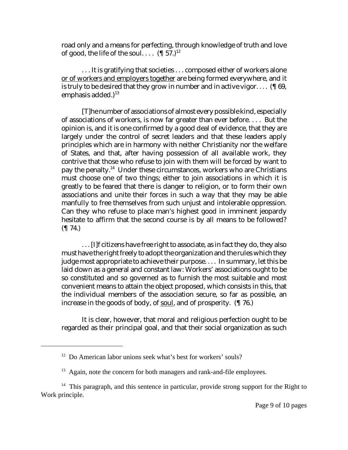road only and a means for perfecting, through knowledge of truth and love of good, the life of the soul....  $(\P 57)^{12}$ 

... It is gratifying that societies ... composed either of workers alone or of workers and employers together are being formed everywhere, and it is truly to be desired that they grow in number and in active vigor....  $($  [ $\beta$ 89, emphasis added.) $13$ 

[T]he number of associations of almost every possible kind, especially of associations of workers, is now far greater than ever before. . . . But the opinion is, and it is one confirmed by a good deal of evidence, that they are largely under the control of secret leaders and that these leaders apply principles which are in harmony with neither Christianity nor the welfare of States, and that, after having possession of all available work, they contrive that those who refuse to join with them will be forced by want to pay the penalty.<sup>14</sup> Under these circumstances, workers who are Christians must choose one of two things; either to join associations in which it is greatly to be feared that there is danger to religion, or to form their own associations and unite their forces in such a way that they may be able manfully to free themselves from such unjust and intolerable oppression. Can they who refuse to place man's highest good in imminent jeopardy hesitate to affirm that the second course is by all means to be followed?  $($ | 74.)

. . . [I]f citizens have free right to associate, as in fact they do, they also must have the right freely to adopt the organization and the rules which they judge most appropriate to achieve their purpose. . . . In summary, let this be laid down as a general and constant law: Workers' associations ought to be so constituted and so governed as to furnish the most suitable and most convenient means to attain the object proposed, which consists in this, that the individual members of the association secure, so far as possible, an increase in the goods of body, of soul, and of prosperity. (¶ 76.)

It is clear, however, that moral and religious perfection ought to be regarded as their principal goal, and that their social organization as such

 $12$  Do American labor unions seek what's best for workers' souls?

<sup>&</sup>lt;sup>13</sup> Again, note the concern for both managers and rank-and-file employees.

 $14$  This paragraph, and this sentence in particular, provide strong support for the Right to Work principle.